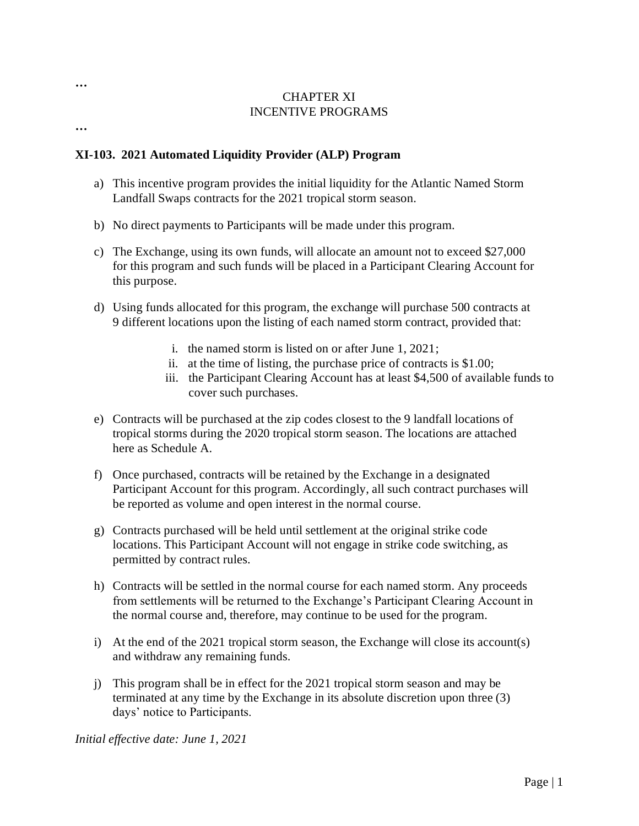## CHAPTER XI INCENTIVE PROGRAMS

#### **…**

**…**

### **XI-103. 2021 Automated Liquidity Provider (ALP) Program**

- a) This incentive program provides the initial liquidity for the Atlantic Named Storm Landfall Swaps contracts for the 2021 tropical storm season.
- b) No direct payments to Participants will be made under this program.
- c) The Exchange, using its own funds, will allocate an amount not to exceed \$27,000 for this program and such funds will be placed in a Participant Clearing Account for this purpose.
- d) Using funds allocated for this program, the exchange will purchase 500 contracts at 9 different locations upon the listing of each named storm contract, provided that:
	- i. the named storm is listed on or after June 1, 2021;
	- ii. at the time of listing, the purchase price of contracts is \$1.00;
	- iii. the Participant Clearing Account has at least \$4,500 of available funds to cover such purchases.
- e) Contracts will be purchased at the zip codes closest to the 9 landfall locations of tropical storms during the 2020 tropical storm season. The locations are attached here as Schedule A.
- f) Once purchased, contracts will be retained by the Exchange in a designated Participant Account for this program. Accordingly, all such contract purchases will be reported as volume and open interest in the normal course.
- g) Contracts purchased will be held until settlement at the original strike code locations. This Participant Account will not engage in strike code switching, as permitted by contract rules.
- h) Contracts will be settled in the normal course for each named storm. Any proceeds from settlements will be returned to the Exchange's Participant Clearing Account in the normal course and, therefore, may continue to be used for the program.
- i) At the end of the 2021 tropical storm season, the Exchange will close its account(s) and withdraw any remaining funds.
- j) This program shall be in effect for the 2021 tropical storm season and may be terminated at any time by the Exchange in its absolute discretion upon three (3) days' notice to Participants.

*Initial effective date: June 1, 2021*